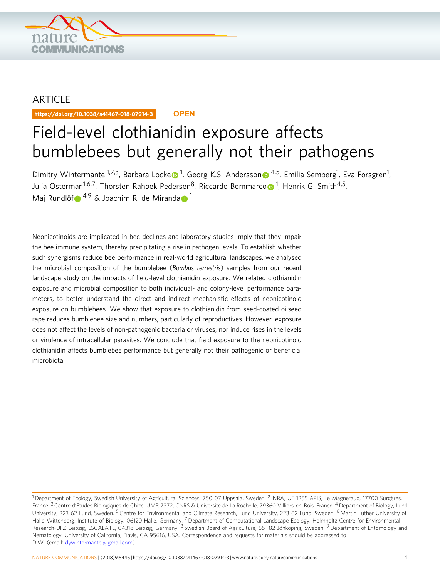

## ARTICLE

https://doi.org/10.1038/s41467-018-07914-3 **OPEN**

# Field-level clothianidin exposure affects bumblebees but generally not their pathogens

Dimitry Wint[e](http://orcid.org/0000-0001-6083-9981)rmantel<sup>[1](http://orcid.org/0000-0001-6083-9981),2,3</sup>, Barbara Locke 1, Georg K.S. A[n](http://orcid.org/0000-0002-9669-6895)dersson 1, [4](http://orcid.org/0000-0002-9669-6895),5, Emilia Semberg<sup>1</sup>, Eva Forsgren<sup>1</sup>, Julia Osterman<sup>1,6,7</sup>, Th[o](http://orcid.org/0000-0001-8888-0476)rsten Rahbek Pedersen<sup>8</sup>, Riccardo Bommarco⊙<sup>1</sup>, Henrik G. Smith<sup>4,5</sup>, Mai Rundlö[f](http://orcid.org/0000-0003-3014-1544)  $\bigcirc^{4,9}$  & Jo[a](http://orcid.org/0000-0002-0335-0386)chim R. de Miranda  $\bigcirc^{1}$  $\bigcirc^{1}$  $\bigcirc^{1}$ 

Neonicotinoids are implicated in bee declines and laboratory studies imply that they impair the bee immune system, thereby precipitating a rise in pathogen levels. To establish whether such synergisms reduce bee performance in real-world agricultural landscapes, we analysed the microbial composition of the bumblebee (Bombus terrestris) samples from our recent landscape study on the impacts of field-level clothianidin exposure. We related clothianidin exposure and microbial composition to both individual- and colony-level performance parameters, to better understand the direct and indirect mechanistic effects of neonicotinoid exposure on bumblebees. We show that exposure to clothianidin from seed-coated oilseed rape reduces bumblebee size and numbers, particularly of reproductives. However, exposure does not affect the levels of non-pathogenic bacteria or viruses, nor induce rises in the levels or virulence of intracellular parasites. We conclude that field exposure to the neonicotinoid clothianidin affects bumblebee performance but generally not their pathogenic or beneficial microbiota.

<sup>&</sup>lt;sup>1</sup> Department of Ecology, Swedish University of Agricultural Sciences, 750 07 Uppsala, Sweden. <sup>2</sup> INRA, UE 1255 APIS, Le Magneraud, 17700 Surgères, France.<sup>3</sup> Centre d'Etudes Biologiques de Chizé, UMR 7372, CNRS & Université de La Rochelle, 79360 Villiers-en-Bois, France.<sup>4</sup> Department of Biology, Lund University, 223 62 Lund, Sweden. <sup>5</sup> Centre for Environmental and Climate Research, Lund University, 223 62 Lund, Sweden. <sup>6</sup> Martin Luther University of Halle-Wittenberg, Institute of Biology, 06120 Halle, Germany. <sup>7</sup> Department of Computational Landscape Ecology, Helmholtz Centre for Environmental Research-UFZ Leipzig, ESCALATE, 04318 Leipzig, Germany. <sup>8</sup> Swedish Board of Agriculture, 551 82 Jönköping, Sweden. <sup>9</sup> Department of Entomology and Nematology, University of California, Davis, CA 95616, USA. Correspondence and requests for materials should be addressed to D.W. (email: [dywintermantel@gmail.com](mailto:dywintermantel@gmail.com))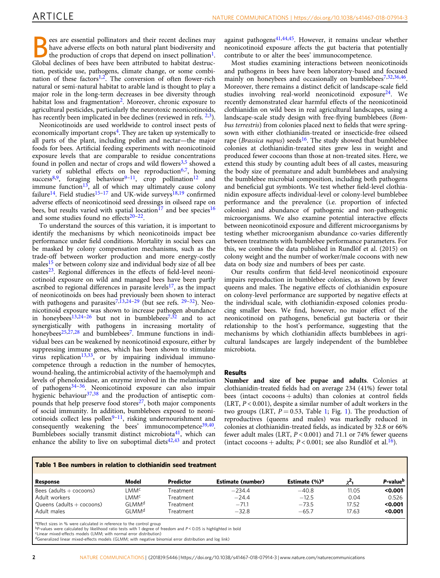ees are essential pollinators and their recent declines may have adverse effects on both natural plant biodiversity and the production of crops that depend on insect pollination<sup>1</sup>. Global declines of bees have been attributed to habitat destruction, pesticide use, pathogens, climate change, or some combi-nation of these factors<sup>[1](#page-7-0),[2](#page-7-0)</sup>. The conversion of often flower-rich natural or semi-natural habitat to arable land is thought to play a major role in the long-term decreases in bee diversity through habitat loss and fragmentation<sup>[2](#page-7-0)</sup>. Moreover, chronic exposure to agricultural pesticides, particularly the neurotoxic neonicotinoids, has recently been implicated in bee declines (reviewed in refs.  $2,3$  $2,3$  $2,3$ ).

Neonicotinoids are used worldwide to control insect pests of economically important crops<sup>4</sup>. They are taken up systemically to all parts of the plant, including pollen and nectar—the major foods for bees. Artificial feeding experiments with neonicotinoid exposure levels that are comparable to residue concentrations found in pollen and nectar of crops and wild flowers<sup>[3](#page-7-0),[5](#page-7-0)</sup> showed a variety of sublethal effects on bee reproduction<sup>6,7</sup>, homing  $success^{8,9}$  $success^{8,9}$  $success^{8,9}$ , foraging behaviour<sup>9–[11](#page-7-0)</sup>, crop pollination<sup>12</sup> and immune function $13$ , all of which may ultimately cause colony failure<sup>14</sup>. Field studies<sup>15–[17](#page-8-0)</sup> and UK-wide surveys<sup>[18,19](#page-8-0)</sup> confirmed adverse effects of neonicotinoid seed dressings in oilseed rape on bees, but results varied with spatial location<sup>[17](#page-8-0)</sup> and bee species<sup>16</sup> and some studies found no effects $20-22$  $20-22$ .

To understand the sources of this variation, it is important to identify the mechanisms by which neonicotinoids impact bee performance under field conditions. Mortality in social bees can be masked by colony compensation mechanisms, such as the trade-off between worker production and more energy-costly males $15$  or between colony size and individual body size of all bee  $\text{cases}^{23}$ . Regional differences in the effects of field-level neonicotinoid exposure on wild and managed bees have been partly ascribed to regional differences in parasite levels $17$ , as the impact of neonicotinoids on bees had previously been shown to interact with pathogens and parasites<sup>[7,](#page-7-0)[13,24](#page-8-0)–[29](#page-8-0)</sup> (but see refs.  $29-32$ ). Neonicotinoid exposure was shown to increase pathogen abundance in honeybees<sup>[13](#page-8-0),[24](#page-8-0)-[26](#page-8-0)</sup> but not in bumblebees<sup>[7](#page-7-0)[,32](#page-8-0)</sup> and to act synergistically with pathogens in increasing mortality of honeybees<sup>[25](#page-8-0),[27,28](#page-8-0)</sup> and bumblebees<sup>7</sup>. Immune functions in individual bees can be weakened by neonicotinoid exposure, either by suppressing immune genes, which has been shown to stimulate virus replication<sup>13,33</sup>, or by impairing individual immunocompetence through a reduction in the number of hemocytes, wound-healing, the antimicrobial activity of the haemolymph and levels of phenoloxidase, an enzyme involved in the melanisation of pathogens[34](#page-8-0)–[36.](#page-8-0) Neonicotinoid exposure can also impair hygienic behaviour<sup>[37,38](#page-8-0)</sup> and the production of antiseptic compounds that help preserve food stores<sup>27</sup>, both major components of social immunity. In addition, bumblebees exposed to neonicotinoids collect less pollen $9-11$  $9-11$  $9-11$ , risking undernourishment and consequently weakening the bees' immunocompetence<sup>39,40</sup>. Bumblebees socially transmit distinct microbiota<sup>[41](#page-8-0)</sup>, which can enhance the ability to live on suboptimal diets $42,43$  $42,43$  $42,43$  and protect

against pathogens $41,44,45$  $41,44,45$  $41,44,45$  $41,44,45$  $41,44,45$ . However, it remains unclear whether neonicotinoid exposure affects the gut bacteria that potentially contribute to or alter the bees' immunocompetence.

Most studies examining interactions between neonicotinoids and pathogens in bees have been laboratory-based and focused mainly on honeybees and occasionally on bumblebees<sup>[7](#page-7-0),32,36,46</sup>. Moreover, there remains a distinct deficit of landscape-scale field studies involving real-world neonicotinoid exposure<sup>24</sup>. We recently demonstrated clear harmful effects of the neonicotinoid clothianidin on wild bees in real agricultural landscapes, using a landscape-scale study design with free-flying bumblebees (Bombus terrestris) from colonies placed next to fields that were springsown with either clothianidin-treated or insecticide-free oilseed rape (*Brassica napus*) seeds<sup>[16](#page-8-0)</sup>. The study showed that bumblebee colonies at clothianidin-treated sites grew less in weight and produced fewer cocoons than those at non-treated sites. Here, we extend this study by counting adult bees of all castes, measuring the body size of premature and adult bumblebees and analysing the bumblebee microbial composition, including both pathogens and beneficial gut symbionts. We test whether field-level clothianidin exposure affects individual-level or colony-level bumblebee performance and the prevalence (i.e. proportion of infected colonies) and abundance of pathogenic and non-pathogenic microorganisms. We also examine potential interactive effects between neonicotinoid exposure and different microorganisms by testing whether microorganism abundance co-varies differently between treatments with bumblebee performance parameters. For this, we combine the data published in Rundlöf et al. (2015) on colony weight and the number of worker/male cocoons with new data on body size and numbers of bees per caste.

Our results confirm that field-level neonicotinoid exposure impairs reproduction in bumblebee colonies, as shown by fewer queens and males. The negative effects of clothianidin exposure on colony-level performance are supported by negative effects at the individual scale, with clothianidin-exposed colonies producing smaller bees. We find, however, no major effect of the neonicotinoid on pathogens, beneficial gut bacteria or their relationship to the host's performance, suggesting that the mechanisms by which clothianidin affects bumblebees in agricultural landscapes are largely independent of the bumblebee microbiota.

#### Results

Number and size of bee pupae and adults. Colonies at clothianidin-treated fields had on average 234 (41%) fewer total bees (intact cocoons + adults) than colonies at control fields (LRT, P < 0.001), despite a similar number of adult workers in the two groups (LRT,  $P = 0.53$ , Table [1](#page-2-0); Fig. 1). The production of reproductives (queens and males) was markedly reduced in colonies at clothianidin-treated fields, as indicated by 32.8 or 66% fewer adult males (LRT,  $P < 0.001$ ) and 71.1 or 74% fewer queens (intact cocoons + adults;  $P < 0.001$ ; see also Rundlöf et al.<sup>16</sup>).

| Table 1 Bee numbers in relation to clothianidin seed treatment |                         |                  |                          |                   |       |                      |  |  |  |  |  |
|----------------------------------------------------------------|-------------------------|------------------|--------------------------|-------------------|-------|----------------------|--|--|--|--|--|
| Response                                                       | Model                   | <b>Predictor</b> | <b>Estimate (number)</b> | Estimate $(\%)^a$ |       | P-value <sup>b</sup> |  |  |  |  |  |
| Bees (adults $+$ cocoons)                                      | <b>MMc</b>              | Treatment        | $-234.4$                 | $-40.8$           | 11.05 | < 0.001              |  |  |  |  |  |
| Adult workers                                                  | $\mathsf{MMC}$          | Treatment        | $-24.4$                  | $-12.5$           | 0.04  | 0.526                |  |  |  |  |  |
| Queens (adults $+$ cocoons)                                    | <b>GLMM<sup>d</sup></b> | Treatment        | $-71.1$                  | $-73.5$           | 17.52 | < 0.001              |  |  |  |  |  |
| Adult males                                                    | GLMM <sup>d</sup>       | Treatment        | $-32.8$                  | $-65.7$           | 17.63 | < 0.001              |  |  |  |  |  |
|                                                                |                         |                  |                          |                   |       |                      |  |  |  |  |  |

Effect sizes in % were calculated in reference to the control group

<sup>b</sup>P-values were calculated by likelihood ratio tests with 1 degree of freedom and P < 0.05 is highlighted in bold<br><sup>c</sup>Linear mixed-effects models (LMM; with normal error distribution)

dGeneralized linear mixed-effects models (GLMM; with negative binomial error distribution and log link)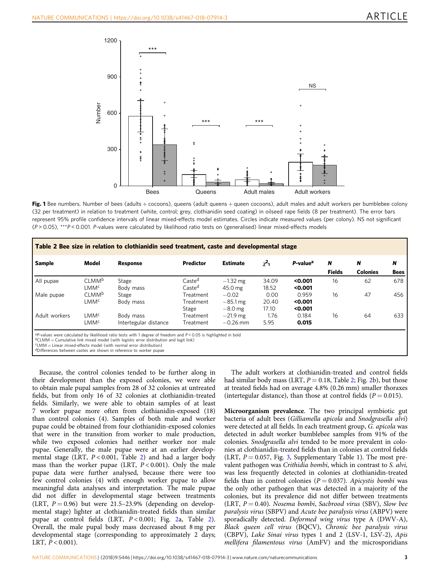<span id="page-2-0"></span>

Fig. 1 Bee numbers. Number of bees (adults + cocoons), queens (adult queens + queen cocoons), adult males and adult workers per bumblebee colony (32 per treatment) in relation to treatment (white, control; grey, clothianidin seed coating) in oilseed rape fields (8 per treatment). The error bars represent 95% profile confidence intervals of linear mixed-effects model estimates. Circles indicate measured values (per colony). NS not significant  $(P > 0.05)$ , \*\*\*P < 0.001. P-values were calculated by likelihood ratio tests on (generalised) linear mixed-effects models

| <b>Sample</b> | <b>Model</b>            | Response              | <b>Predictor</b>   | <b>Estimate</b> | $\chi^2$ <sub>1</sub> | P-value <sup>a</sup> | N             | N               | N           |
|---------------|-------------------------|-----------------------|--------------------|-----------------|-----------------------|----------------------|---------------|-----------------|-------------|
|               |                         |                       |                    |                 |                       |                      | <b>Fields</b> | <b>Colonies</b> | <b>Bees</b> |
| All pupae     | <b>CLMMb</b>            | Stage                 | Caste <sup>d</sup> | $-1.32$ mg      | 34.09                 | < 0.001              | 16            | 62              | 678         |
|               | <b>LMM<sup>c</sup></b>  | Body mass             | Caste <sup>d</sup> | 45.0 mg         | 18.52                 | < 0.001              |               |                 |             |
| Male pupae    | <b>CLMM<sup>b</sup></b> | Stage                 | Treatment          | $-0.02$         | 0.00                  | 0.959                | 16            | 47              | 456         |
|               | LMMc                    | Body mass             | Treatment          | $-85.1$ mg      | 20.40                 | < 0.001              |               |                 |             |
|               |                         |                       | Stage              | $-8.0$ mg       | 17.10                 | < 0.001              |               |                 |             |
| Adult workers | <b>LMM<sup>c</sup></b>  | Body mass             | Treatment          | $-21.9$ mg      | 1.76                  | 0.184                | 16            | 64              | 633         |
|               | <b>LMM<sup>c</sup></b>  | Intertegular distance | Treatment          | $-0.26$ mm      | 5.95                  | 0.015                |               |                 |             |

dDifferences between castes are shown in reference to worker pupae

Because, the control colonies tended to be further along in their development than the exposed colonies, we were able to obtain male pupal samples from 28 of 32 colonies at untreated fields, but from only 16 of 32 colonies at clothianidin-treated fields. Similarly, we were able to obtain samples of at least 7 worker pupae more often from clothianidin-exposed (18) than control colonies (4). Samples of both male and worker pupae could be obtained from four clothianidin-exposed colonies that were in the transition from worker to male production, while two exposed colonies had neither worker nor male pupae. Generally, the male pupae were at an earlier developmental stage (LRT,  $P < 0.001$ , Table 2) and had a larger body mass than the worker pupae (LRT,  $P < 0.001$ ). Only the male pupae data were further analysed, because there were too few control colonies (4) with enough worker pupae to allow meaningful data analyses and interpretation. The male pupae did not differ in developmental stage between treatments (LRT,  $P = 0.96$ ) but were 21.5–23.9% (depending on developmental stage) lighter at clothianidin-treated fields than similar pupae at control fields (LRT, P < 0.001; Fig. [2a](#page-3-0), Table 2). Overall, the male pupal body mass decreased about 8 mg per developmental stage (corresponding to approximately 2 days; LRT,  $P < 0.001$ ).

The adult workers at clothianidin-treated and control fields had similar body mass (LRT,  $P = 0.18$ , Table [2](#page-3-0); Fig. 2b), but those at treated fields had on average 4.8% (0.26 mm) smaller thoraxes (intertegular distance), than those at control fields ( $P = 0.015$ ).

Microorganism prevalence. The two principal symbiotic gut bacteria of adult bees (Gilliamella apicola and Snodgrasella alvi) were detected at all fields. In each treatment group, G. apicola was detected in adult worker bumblebee samples from 91% of the colonies. Snodgrasella alvi tended to be more prevalent in colonies at clothianidin-treated fields than in colonies at control fields (LRT,  $P = 0.057$ , Fig. [3](#page-3-0), Supplementary Table 1). The most prevalent pathogen was Crithidia bombi, which in contrast to S. alvi, was less frequently detected in colonies at clothianidin-treated fields than in control colonies ( $P = 0.037$ ). Apicystis bombi was the only other pathogen that was detected in a majority of the colonies, but its prevalence did not differ between treatments (LRT,  $P = 0.40$ ). Nosema bombi, Sacbrood virus (SBV), Slow bee paralysis virus (SBPV) and Acute bee paralysis virus (ABPV) were sporadically detected. Deformed wing virus type A (DWV-A), Black queen cell virus (BQCV), Chronic bee paralysis virus (CBPV), Lake Sinai virus types 1 and 2 (LSV-1, LSV-2), Apis mellifera filamentous virus (AmFV) and the microsporidians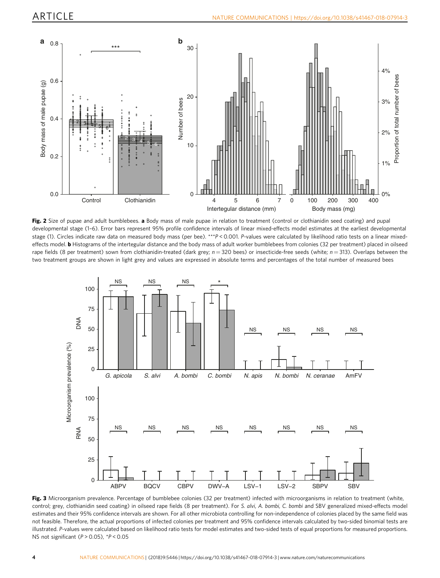<span id="page-3-0"></span>

Fig. 2 Size of pupae and adult bumblebees. a Body mass of male pupae in relation to treatment (control or clothianidin seed coating) and pupal developmental stage (1–6). Error bars represent 95% profile confidence intervals of linear mixed-effects model estimates at the earliest developmental stage (1). Circles indicate raw data on measured body mass (per bee). \*\*\*P < 0.001. P-values were calculated by likelihood ratio tests on a linear mixedeffects model. b Histograms of the intertegular distance and the body mass of adult worker bumblebees from colonies (32 per treatment) placed in oilseed rape fields (8 per treatment) sown from clothianidin-treated (dark grey;  $n = 320$  bees) or insecticide-free seeds (white;  $n = 313$ ). Overlaps between the two treatment groups are shown in light grey and values are expressed in absolute terms and percentages of the total number of measured bees



Fig. 3 Microorganism prevalence. Percentage of bumblebee colonies (32 per treatment) infected with microorganisms in relation to treatment (white, control; grey, clothianidin seed coating) in oilseed rape fields (8 per treatment). For S. alvi, A. bombi, C. bombi and SBV generalized mixed-effects model estimates and their 95% confidence intervals are shown. For all other microbiota controlling for non-independence of colonies placed by the same field was not feasible. Therefore, the actual proportions of infected colonies per treatment and 95% confidence intervals calculated by two-sided binomial tests are illustrated. P-values were calculated based on likelihood ratio tests for model estimates and two-sided tests of equal proportions for measured proportions. NS not significant ( $P > 0.05$ ),  $*P < 0.05$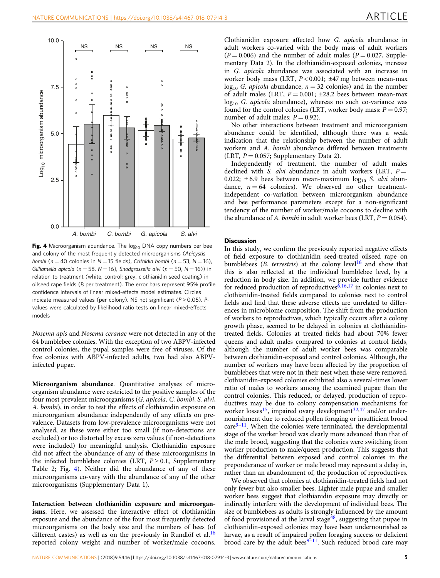

Fig. 4 Microorganism abundance. The  $log_{10}$  DNA copy numbers per bee and colony of the most frequently detected microorganisms (Apicystis bombi (n = 40 colonies in N = 15 fields), Crithidia bombi (n = 53, N = 16), Gilliamella apicola ( $n = 58$ ,  $N = 16$ ), Snodgrassella alvi ( $n = 50$ ,  $N = 16$ )) in relation to treatment (white, control; grey, clothianidin seed coating) in oilseed rape fields (8 per treatment). The error bars represent 95% profile confidence intervals of linear mixed-effects model estimates. Circles indicate measured values (per colony). NS not significant ( $P > 0.05$ ). Pvalues were calculated by likelihood ratio tests on linear mixed-effects models

Nosema apis and Nosema ceranae were not detected in any of the 64 bumblebee colonies. With the exception of two ABPV-infected control colonies, the pupal samples were free of viruses. Of the five colonies with ABPV-infected adults, two had also ABPVinfected pupae.

Microorganism abundance. Quantitative analyses of microorganism abundance were restricted to the positive samples of the four most prevalent microorganisms (G. apicola, C. bombi, S. alvi, A. bombi), in order to test the effects of clothianidin exposure on microorganism abundance independently of any effects on prevalence. Datasets from low-prevalence microorganisms were not analysed, as these were either too small (if non-detections are excluded) or too distorted by excess zero values (if non-detections were included) for meaningful analysis. Clothianidin exposure did not affect the abundance of any of these microorganisms in the infected bumblebee colonies (LRT,  $P \ge 0.1$ , Supplementary Table 2; Fig. 4). Neither did the abundance of any of these microorganisms co-vary with the abundance of any of the other microorganisms (Supplementary Data 1).

Interaction between clothianidin exposure and microorganisms. Here, we assessed the interactive effect of clothianidin exposure and the abundance of the four most frequently detected microorganisms on the body size and the numbers of bees (of different castes) as well as on the previously in Rundlöf et al.<sup>[16](#page-8-0)</sup> reported colony weight and number of worker/male cocoons. Clothianidin exposure affected how G. apicola abundance in adult workers co-varied with the body mass of adult workers  $(P = 0.006)$  and the number of adult males  $(P = 0.027,$  Supplementary Data 2). In the clothianidin-exposed colonies, increase in G. apicola abundance was associated with an increase in worker body mass (LRT,  $P < 0.001$ ;  $\pm 47$  mg between mean-max  $log_{10} G.$  apicola abundance,  $n = 32$  colonies) and in the number of adult males (LRT,  $P = 0.001$ ;  $\pm 28.2$  bees between mean-max  $log_{10} G.$  apicola abundance), whereas no such co-variance was found for the control colonies (LRT, worker body mass:  $P = 0.97$ ; number of adult males:  $P = 0.92$ ).

No other interactions between treatment and microorganism abundance could be identified, although there was a weak indication that the relationship between the number of adult workers and A. bombi abundance differed between treatments (LRT,  $P = 0.057$ ; Supplementary Data 2).

Independently of treatment, the number of adult males declined with S. alvi abundance in adult workers (LRT,  $P =$ 0.022;  $\pm$  6.9 bees between mean-maximum log<sub>10</sub> S. *alvi* abundance,  $n = 64$  colonies). We observed no other treatmentindependent co-variation between microorganism abundance and bee performance parameters except for a non-significant tendency of the number of worker/male cocoons to decline with the abundance of A. bombi in adult worker bees (LRT,  $P = 0.054$ ).

#### **Discussion**

In this study, we confirm the previously reported negative effects of field exposure to clothianidin seed-treated oilseed rape on bumblebees (*B. terrestris*) at the colony level<sup>[16](#page-8-0)</sup> and show that this is also reflected at the individual bumblebee level, by a reduction in body size. In addition, we provide further evidence for reduced production of reproductives<sup> $\bar{6}$  $\bar{6}$  $\bar{6}$ ,[16](#page-8-0),[17](#page-8-0)</sup> in colonies next to clothianidin-treated fields compared to colonies next to control fields and find that these adverse effects are unrelated to differences in microbiome composition. The shift from the production of workers to reproductives, which typically occurs after a colony growth phase, seemed to be delayed in colonies at clothianidintreated fields. Colonies at treated fields had about 70% fewer queens and adult males compared to colonies at control fields, although the number of adult worker bees was comparable between clothianidin-exposed and control colonies. Although, the number of workers may have been affected by the proportion of bumblebees that were not in their nest when these were removed, clothianidin-exposed colonies exhibited also a several-times lower ratio of males to workers among the examined pupae than the control colonies. This reduced, or delayed, production of reproductives may be due to colony compensation mechanisms for worker losses<sup>[15](#page-8-0)</sup>, impaired ovary development<sup>[32](#page-8-0),[47](#page-8-0)</sup> and/or undernourishment due to reduced pollen foraging or insufficient brood  $care<sup>9–11</sup>$  $care<sup>9–11</sup>$  $care<sup>9–11</sup>$ . When the colonies were terminated, the developmental stage of the worker brood was clearly more advanced than that of the male brood, suggesting that the colonies were switching from worker production to male/queen production. This suggests that the differential between exposed and control colonies in the preponderance of worker or male brood may represent a delay in, rather than an abandonment of, the production of reproductives.

We observed that colonies at clothianidin-treated fields had not only fewer but also smaller bees. Lighter male pupae and smaller worker bees suggest that clothianidin exposure may directly or indirectly interfere with the development of individual bees. The size of bumblebees as adults is strongly influenced by the amount of food provisioned at the larval stage<sup>48</sup>, suggesting that pupae in clothianidin-exposed colonies may have been undernourished as larvae, as a result of impaired pollen foraging success or deficient brood care by the adult bees $9-11$  $9-11$ . Such reduced brood care may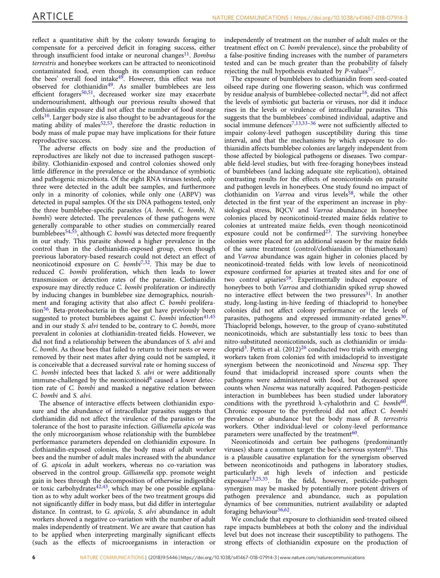reflect a quantitative shift by the colony towards foraging to compensate for a perceived deficit in foraging success, either through insufficient food intake or neuronal changes<sup>[11](#page-7-0)</sup>. Bombus terrestris and honeybee workers can be attracted to neonicotinoid contaminated food, even though its consumption can reduce the bees' overall food intake $49$ . However, this effect was not observed for clothianidin<sup>49</sup>. As smaller bumblebees are less efficient foragers<sup>[50](#page-8-0),[51](#page-8-0)</sup>, decreased worker size may exacerbate undernourishment, although our previous results showed that clothianidin exposure did not affect the number of food storage cells<sup>16</sup>. Larger body size is also thought to be advantageous for the mating ability of males $52,53$  $52,53$  $52,53$ , therefore the drastic reduction in body mass of male pupae may have implications for their future reproductive success.

The adverse effects on body size and the production of reproductives are likely not due to increased pathogen susceptibility. Clothianidin-exposed and control colonies showed only little difference in the prevalence or the abundance of symbiotic and pathogenic microbiota. Of the eight RNA viruses tested, only three were detected in the adult bee samples, and furthermore only in a minority of colonies, while only one (ABPV) was detected in pupal samples. Of the six DNA pathogens tested, only the three bumblebee-specific parasites (A. bombi, C. bombi, N. bombi) were detected. The prevalences of these pathogens were generally comparable to other studies on commercially reared bumblebees<sup>[54](#page-8-0),[55](#page-8-0)</sup>, although C. bombi was detected more frequently in our study. This parasite showed a higher prevalence in the control than in the clothianidin-exposed group, even though previous laboratory-based research could not detect an effect of neonicotinoid exposure on C.  $bombi^{7,32}$  $bombi^{7,32}$  $bombi^{7,32}$ . This may be due to reduced C. bombi proliferation, which then leads to lower transmission or detection rates of the parasite. Clothianidin exposure may directly reduce C. bombi proliferation or indirectly by inducing changes in bumblebee size demographics, nourishment and foraging activity that also affect C. bombi prolifera-tion<sup>[56](#page-8-0)</sup>. Beta-proteobacteria in the bee gut have previously been suggested to protect bumblebees against  $C$ . bombi infection<sup>[41,45](#page-8-0)</sup> and in our study S. alvi tended to be, contrary to C. bombi, more prevalent in colonies at clothianidin-treated fields. However, we did not find a relationship between the abundances of S. alvi and C. bombi. As those bees that failed to return to their nests or were removed by their nest mates after dying could not be sampled, it is conceivable that a decreased survival rate or homing success of C. bombi infected bees that lacked S. alvi or were additionally immune-challenged by the neonicotinoid $8$  caused a lower detection rate of C. bombi and masked a negative relation between C. bombi and S. alvi.

The absence of interactive effects between clothianidin exposure and the abundance of intracellular parasites suggests that clothianidin did not affect the virulence of the parasites or the tolerance of the host to parasite infection. Gilliamella apicola was the only microorganism whose relationship with the bumblebee performance parameters depended on clothianidin exposure. In clothianidin-exposed colonies, the body mass of adult worker bees and the number of adult males increased with the abundance of G. apicola in adult workers, whereas no co-variation was observed in the control group. Gilliamella spp. promote weight gain in bees through the decomposition of otherwise indigestible or toxic carbohydrates $42,43$  $42,43$  $42,43$ , which may be one possible explanation as to why adult worker bees of the two treatment groups did not significantly differ in body mass, but did differ in intertegular distance. In contrast, to G. apicola, S. alvi abundance in adult workers showed a negative co-variation with the number of adult males independently of treatment. We are aware that caution has to be applied when interpreting marginally significant effects (such as the effects of microorganisms in interaction or

independently of treatment on the number of adult males or the treatment effect on C. bombi prevalence), since the probability of a false-positive finding increases with the number of parameters tested and can be much greater than the probability of falsely rejecting the null hypothesis evaluated by  $P$ -values<sup>[57](#page-8-0)</sup>.

The exposure of bumblebees to clothianidin from seed-coated oilseed rape during one flowering season, which was confirmed by residue analysis of bumblebee-collected nectar $^{16}$ , did not affect the levels of symbiotic gut bacteria or viruses, nor did it induce rises in the levels or virulence of intracellular parasites. This suggests that the bumblebees' combined individual, adaptive and social immune defences<sup>[7](#page-7-0)[,13,33](#page-8-0)-[36](#page-8-0)</sup> were not sufficiently affected to impair colony-level pathogen susceptibility during this time interval, and that the mechanisms by which exposure to clothianidin affects bumblebee colonies are largely independent from those affected by biological pathogens or diseases. Two comparable field-level studies, but with free-foraging honeybees instead of bumblebees (and lacking adequate site replication), obtained contrasting results for the effects of neonicotinoids on parasite and pathogen levels in honeybees. One study found no impact of clothianidin on Varroa and virus levels $58$ , while the other detected in the first year of the experiment an increase in physiological stress, BQCV and Varroa abundance in honeybee colonies placed by neonicotinoid-treated maize fields relative to colonies at untreated maize fields, even though neonicotinoid exposure could not be confirmed $2<sup>3</sup>$ . The surviving honeybee colonies were placed for an additional season by the maize fields of the same treatment (control/clothianidin or thiamethoxam) and Varroa abundance was again higher in colonies placed by neonicotinoid-treated fields with low levels of neonicotinoid exposure confirmed for apiaries at treated sites and for one of two control apiaries<sup>[59](#page-8-0)</sup>. Experimentally induced exposure of honeybees to both Varroa and clothianidin spiked syrup showed no interactive effect between the two pressures $31$ . In another study, long-lasting in-hive feeding of thiacloprid to honeybee colonies did not affect colony performance or the levels of parasites, pathogens and expressed immunity-related genes<sup>30</sup>. Thiacloprid belongs, however, to the group of cyano-substituted neonicotinoids, which are substantially less toxic to bees than nitro-substituted neonicotinoids, such as clothianidin or imida-cloprid<sup>[3](#page-7-0)</sup>. Pettis et al.  $(2012)^{26}$  conducted two trials with emerging workers taken from colonies fed with imidacloprid to investigate synergism between the neonicotinoid and Nosema spp. They found that imidacloprid increased spore counts when the pathogens were administered with food, but decreased spore counts when Nosema was naturally acquired. Pathogen-pesticide interaction in bumblebees has been studied under laboratory conditions with the pyrethroid  $\lambda$ -cyhalothrin and C. bombi<sup>60</sup>. Chronic exposure to the pyrethroid did not affect C. bombi prevalence or abundance but the body mass of B. terrestris workers. Other individual-level or colony-level performance parameters were unaffected by the treatment $60$ .

Neonicotinoids and certain bee pathogens (predominantly viruses) share a common target: the bee's nervous system $61$ . This is a plausible causative explanation for the synergism observed between neonicotinoids and pathogens in laboratory studies, particularly at high levels of infection and pesticide exposure<sup>13,25,35</sup>. In the field, however, pesticide-pathogen synergism may be masked by potentially more potent drivers of pathogen prevalence and abundance, such as population dynamics of bee communities, nutrient availability or adapted foraging behaviour $56,62$  $56,62$  $56,62$ .

We conclude that exposure to clothianidin seed-treated oilseed rape impacts bumblebees at both the colony and the individual level but does not increase their susceptibility to pathogens. The strong effects of clothianidin exposure on the production of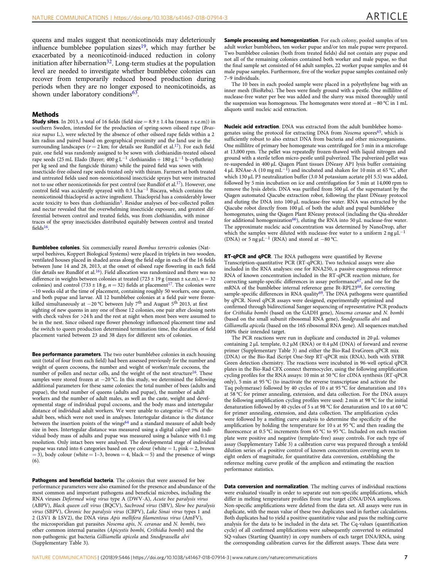queens and males suggest that neonicotinoids may deleteriously influence bumblebee population sizes<sup>19</sup>, which may further be exacerbated by a neonicotinoid-induced reduction in colony initiation after hibernation<sup>[32](#page-8-0)</sup>. Long-term studies at the population level are needed to investigate whether bumblebee colonies can recover from temporarily reduced brood production during periods when they are no longer exposed to neonicotinoids, as shown under laboratory conditions<sup>[63](#page-8-0)</sup>.

#### Methods

**Study sites.** In 2013, a total of 16 fields (field size  $= 8.9 \pm 1.4$  ha (mean  $\pm$  s.e.m)) in southern Sweden, intended for the production of spring-sown oilseed rape (Brassica napus L.), were selected by the absence of other oilseed rape fields within a 2 km radius and paired based on geographical proximity and the land use in the surrounding landscapes ( $r = 2$  km; for details see Rundlöf et al.<sup>17</sup>). For each field pair, one field was randomly assigned to be sown with clothianidin-treated oilseed rape seeds (25 mL Elado (Bayer; 400 g L<sup>-1</sup> clothianidin + 180 g L<sup>-1</sup> b-cyfluthrin) per kg seed and the fungicide thiram) while the paired field was sown with insecticide-free oilseed rape seeds treated only with thiram. Farmers at both treated and untreated fields used non-neonicotinoid insecticide sprays but were instructed not to use other neonicotinoids for pest control (see Rundlöf et al.<sup>17</sup>). However, one control field was accidently sprayed with 0.3 L ha−<sup>1</sup> Biscaya, which contains the neonicotinoid thiacloprid as active ingredient. Thiacloprid has a considerably lower acute toxicity to bees than clothianidin<sup>[3](#page-7-0)</sup>. Residue analyses of bee-collected pollen and nectar revealed that the overwhelming insecticide exposure, and greatest differential between control and treated fields, was from clothianidin, with minor traces of the spray insecticides distributed equitably between control and treated fields[16.](#page-8-0)

Bumblebee colonies. Six commercially reared Bombus terrestris colonies (Naturpol beehives, Koppert Biological Systems) were placed in triplets in two wooden, ventilated houses placed in shaded areas along the field edge in each of the 16 fields between June 14 and 28, 2013, at the onset of oilseed rape flowering in each field (for details see Rundlöf et al.<sup>[16](#page-8-0)</sup>). Field allocation was randomized and there was no difference in weights between colonies at treated (723  $\pm$  19 g (mean  $\pm$  s.e.m),  $n = 32$ colonies) and control (733 ± 18 g,  $n = 32$ ) fields at placement<sup>[17](#page-8-0)</sup>. The colonies were ~10 weeks old at the time of placement, containing roughly 50 workers, one queen, and both pupae and larvae. All 12 bumblebee colonies at a field pair were freezekilled simultaneously at −20 °C between July 7<sup>th</sup> and August 5<sup>th</sup> 2013, at first sighting of new queens in any one of those 12 colonies, one pair after closing nests with check valves for >24 h and the rest at night when most bees were assumed to be in the nest. Since oilseed rape flower phenology influenced placement time and the switch to queen production determined termination time, the duration of field placement varied between 23 and 38 days for different sets of colonies.

Bee performance parameters. The two outer bumblebee colonies in each housing unit (total of four from each field) had been assessed previously for the number and weight of queen cocoons, the number and weight of worker/male cocoons, the number of pollen and nectar cells, and the weight of the nest structure<sup>16</sup>. These samples were stored frozen at −20 °C. In this study, we determined the following additional parameters for these same colonies: the total number of bees (adults and pupae), the total number of queens (adults and pupae), the number of adult workers and the number of adult males, as well as the caste, weight and developmental stage of individual pupal cocoons, and the body mass and intertegular distance of individual adult workers. We were unable to categorize ~0.7% of the adult bees, which were not used in analyses. Intertegular distance is the distance between the insertion points of the wings<sup>[64](#page-8-0)</sup> and a standard measure of adult body size in bees. Intertegular distance was measured using a digital caliper and individual body mass of adults and pupae was measured using a balance with 0.1 mg resolution. Only intact bees were analysed. The developmental stage of individual pupae was rated into 6 categories based on eye colour (white = 1, pink = 2, brown  $= 3$ ), body colour (white  $= 1-3$ , brown  $= 4$ , black  $= 5$ ) and the presence of wings (6).

Pathogens and beneficial bacteria. The colonies that were assessed for bee performance parameters were also examined for the presence and abundance of the most common and important pathogens and beneficial microbes, including the RNA viruses Deformed wing virus type A (DWV-A), Acute bee paralysis virus (ABPV), Black queen cell virus (BQCV), Sacbrood virus (SBV), Slow bee paralysis virus (SBPV), Chronic bee paralysis virus (CBPV), Lake Sinai virus types 1 and 2 (LSV1 & LSV2), the DNA virus Apis mellifera filamentous virus (AmFV), the microsporidian gut parasites Nosema apis, N. ceranae and N. bombi, two other common internal parasites (Apicystis bombi, Crithidia bombi) and the non-pathogenic gut bacteria Gilliamella apicola and Snodgrassella alvi (Supplementary Table 3).

Sample processing and homogenization. For each colony, pooled samples of ten adult worker bumblebees, ten worker pupae and/or ten male pupae were prepared. Two bumblebee colonies (both from treated fields) did not contain any pupae and not all of the remaining colonies contained both worker and male pupae, so that the final sample set consisted of 64 adult samples, 22 worker pupae samples and 44 male pupae samples. Furthermore, five of the worker pupae samples contained only 7–9 individuals.

The 10 bees in each pooled sample were placed in a polyethylene bag with an inner mesh (BioReba). The bees were finely ground with a pestle. One millilitre of nuclease-free water per bee was added and the slurry was mixed thoroughly until the suspension was homogenous. The homogenates were stored at −80 °C in 1 mL aliquots until nucleic acid extraction.

Nucleic acid extraction. DNA was extracted from the adult bumblebee homo-genates using the protocol for extracting DNA from Nosema spores<sup>[65](#page-8-0)</sup>, which is sufficiently robust to also extract DNA from bacteria and other microorganisms. One millilitre of primary bee homogenate was centrifuged for 5 min in a microfuge at 13,000 rpm. The pellet was repeatedly frozen-thawed with liquid nitrogen and ground with a sterile teflon micro-pestle until pulverized. The pulverized pellet was re-suspended in 400 µL Qiagen Plant tissues DNeasy AP1 lysis buffer containing 4 µL RNAse-A (10 mg mL<sup>−</sup>1) and incubated and shaken for 10 min at 65 °C, after which 130 µL P3 neutralization buffer (3.0 M potassium acetate pH 5.5) was added, followed by 5 min incubation on ice and centrifugation for 5 min at 14,000 rpm to remove the lysis debris. DNA was purified from 500 µL of the supernatant by the Qiagen automated Qiacube extraction robot, following the plant DNeasy protocol and eluting the DNA into 100 µL nuclease-free water. RNA was extracted by the Qiacube robot directly from 100 µL of both the adult and pupal bumblebee homogenates, using the Qiagen Plant RNeasy protocol (including the Qia-shredder for additional homogenization<sup>[66](#page-8-0)</sup>), eluting the RNA into 50  $\mu$ L nuclease-free water. The approximate nucleic acid concentration was determined by NanoDrop, after which the samples were diluted with nuclease-free water to a uniform 2 ng µL<sup>-1</sup> (DNA) or  $5 \text{ ng } \mu L^{-1}$  (RNA) and stored at  $-80$  °C.

RT-qPCR and qPCR. The RNA pathogens were quantified by Reverse Transcription-quantitative PCR (RT-qPCR). Two technical assays were also included in the RNA analyses: one for RNA250, a passive exogenous reference RNA of known concentration included in the RT-qPCR reaction mixture, for correcting sample-specific differences in assay performance<sup>[67](#page-9-0)</sup>, and one for the mRNA of the bumblebee internal reference gene Bt-RPL23<sup>[68](#page-9-0)</sup>, for correcting sample-specific differences in RNA quality<sup>[69](#page-9-0)</sup>. The DNA pathogens were quantified by qPCR. Novel qPCR assays were designed, experimentally optimized and confirmed through bidirectional Sanger sequencing of representative PCR products for Crithidia bombi (based on the GADH gene), Nosema ceranae and N. bombi (based on the small subunit ribosomal RNA gene), Snodgrassella alvi and Gilliamella apicola (based on the 16S ribosomal RNA gene). All sequences matched 100% their intended target.

The PCR reactions were run in duplicate and conducted in 20 µL volumes containing 2  $\mu$ L template, 0.2  $\mu$ M (RNA) or 0.4  $\mu$ M (DNA) of forward and reverse primer (Supplementary Table 3) and either the Bio-Rad EvaGreen qPCR mix (DNA) or the Bio-Rad iScript One-Step RT-qPCR mix (RNA), both with SYBR Green detection chemistry. The reactions were incubated in 96-well optical qPCR plates in the Bio-Rad CFX connect thermocycler, using the following amplification cycling profiles for the RNA assays: 10 min at 50 °C for cDNA synthesis (RT-qPCR only), 5 min at 95 °C (to inactivate the reverse transcriptase and activate the Taq polymerase) followed by 40 cycles of 10 s at 95 °C for denaturation and 10 s at 58 °C for primer annealing, extension, and data collection. For the DNA assays the following amplification cycling profiles were used: 2 min at 98 °C for the initial denaturation followed by 40 cycles of 5 s at 98 °C for denaturation and 10 s at 60 °C for primer annealing, extension, and data collection. The amplification cycles were followed by a melting curve analysis to determine the specificity of the amplification by holding the temperature for 10 s at 95 °C and then reading the fluorescence at 0.5 °C increments from 65 °C to 95 °C. Included on each reaction plate were positive and negative (template-free) assay controls. For each type of assay (Supplementary Table 3) a calibration curve was prepared through a tenfold dilution series of a positive control of known concentration covering seven to eight orders of magnitude, for quantitative data conversion, establishing the reference melting curve profile of the amplicon and estimating the reaction performance statistics.

Data conversion and normalization. The melting curves of individual reactions were evaluated visually in order to separate out non-specific amplifications, which differ in melting temperature profiles from true target cDNA/DNA amplicons. Non-specific amplifications were deleted from the data set. All assays were run in duplicate, with the mean value of these two duplicates used in further calculations. Both duplicates had to yield a positive quantitative value and pass the melting curve analysis for the data to be included in the data set. The Cq-values (quantification cycle) of all confirmed amplifications were subsequently converted to estimated SQ-values (Starting Quantity) in copy numbers of each target DNA/RNA, using the corresponding calibration curves for the different assays. These data were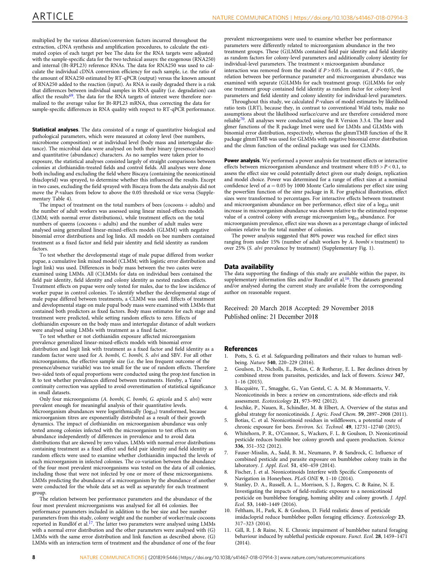<span id="page-7-0"></span>multiplied by the various dilution/conversion factors incurred throughout the extraction, cDNA synthesis and amplification procedures, to calculate the estimated copies of each target per bee The data for the RNA targets were adjusted with the sample-specific data for the two technical assays: the exogenous (RNA250) and internal (Bt-RPL23) reference RNAs. The data for RNA250 was used to calculate the individual cDNA conversion efficiency for each sample, i.e. the ratio of the amount of RNA250 estimated by RT-qPCR (output) versus the known amount of RNA250 added to the reaction (input). As RNA is easily degraded there is a risk that differences between individual samples in RNA quality (i.e. degradation) can affect the results<sup>[69](#page-9-0)</sup>. The data for the RNA targets of interest were therefore normalized to the average value for Bt-RPL23 mRNA, thus correcting the data for sample-specific differences in RNA quality with respect to RT-qPCR performance.

Statistical analyses. The data consisted of a range of quantitative biological and pathological parameters, which were measured at colony level (bee numbers, microbiome composition) or at individual level (body mass and intertegular distance). The microbial data were analysed on both their binary (presence/absence) and quantitative (abundance) characters. As no samples were taken prior to exposure, the statistical analyses consisted largely of straight comparisons between colonies at clothianidin-treated fields and control fields. All analyses were done both including and excluding the field where Biscaya (containing the neonicotinoid thiacloprid) was sprayed, to determine whether this influenced the results. Except in two cases, excluding the field sprayed with Biscaya from the data analysis did not move the P-values from below to above the 0.05 threshold or vice versa (Supplementary Table 4).

The impact of treatment on the total numbers of bees (cocoons + adults) and the number of adult workers was assessed using linear mixed-effects models (LMM; with normal error distributions), while treatment effects on the total numbers of queens ( $\rm cocoons + adults$ ) and the number of adult males were analysed using generalized linear-mixed-effects models (GLMM) with negative binomial error distributions and log links. All models on bee numbers contained treatment as a fixed factor and field pair identity and field identity as random factors.

To test whether the developmental stage of male pupae differed from worker pupae, a cumulative link mixed model (CLMM; with logistic error distribution and logit link) was used. Differences in body mass between the two castes were examined using LMMs. All (C)LMMs for data on individual bees contained the field pair identity, field identity and colony identity as nested random effects. Treatment effects on pupae were only tested for males, due to the low incidence of worker pupae in control colonies. To identify whether the developmental stage of male pupae differed between treatments, a CLMM was used. Effects of treatment and developmental stage on male pupal body mass were examined with LMMs that contained both predictors as fixed factors. Body mass estimates for each stage and treatment were predicted, while setting random effects to zero. Effects of clothianidin exposure on the body mass and intertegular distance of adult workers were analysed using LMMs with treatment as a fixed factor.

To test whether or not clothianidin exposure affected microorganism prevalence generalized linear-mixed-effects models with binomial error distribution and logit link with treatment as a fixed factor and field identity as a random factor were used for A. bombi, C. bombi, S. alvi and SBV. For all other microorganisms, the effective sample size (i.e. the less frequent outcome of the presence/absence variable) was too small for the use of random effects. Therefore two-sided tests of equal proportions were conducted using the prop.test function in R to test whether prevalences differed between treatments. Hereby, a Yates' continuity correction was applied to avoid overestimation of statistical significance in small datasets.

Only four microorganisms (A. bombi, C. bombi, G. apicola and S. alvi) were prevalent enough for meaningful analysis of their quantitative levels. Microorganism abundances were logarithmically  $(log_{10})$  transformed, because microorganism titres are exponentially distributed as a result of their growth dynamics. The impact of clothianidin on microorganism abundance was only tested among colonies infected with the microorganism to test effects on abundance independently of differences in prevalence and to avoid data distributions that are skewed by zero values. LMMs with normal error distributions containing treatment as a fixed effect and field pair identity and field identity as random effects were used to examine whether clothianidin impacted the levels of each microorganism in infected colonies. The co-variation between the abundance of the four most prevalent microorganisms was tested on the data of all colonies, including those that were not infected by one or more of these microorganisms. LMMs predicting the abundance of a microorganism by the abundance of another were conducted for the whole data set as well as separately for each treatment group.

The relation between bee performance parameters and the abundance of the four most prevalent microorganisms was analysed for all 64 colonies. Bee performance parameters included in addition to the bee size and bee number parameters from this study, colony weight and the number of worker/male cocoons<br>reported in Rundlöf et al.<sup>17</sup>. The latter two parameters were analysed using LMMs with a normal error distribution and the other parameters were analysed with (G) LMMs with the same error distribution and link function as described above. (G) LMMs with an interaction term of treatment and the abundance of one of the four

prevalent microorganisms were used to examine whether bee performance parameters were differently related to microorganism abundance in the two treatment groups. These (G)LMMs contained field pair identity and field identity as random factors for colony-level parameters and additionally colony identity for individual-level parameters. The treatment  $\times$  microorganism abundance interaction was removed from the model if  $P > 0.05$ . In contrast, if  $P < 0.05$ , the relation between bee performance parameter and microorganism abundance was examined with separate (G)LMMs for each treatment group. (G)LMMs for only one treatment group contained field identity as random factor for colony-level parameters and field identity and colony identity for individual-level parameters.

Throughout this study, we calculated P-values of model estimates by likelihood ratio tests (LRT), because they, in contrast to conventional Wald tests, make no assumptions about the likelihood surface/curve and are therefore considered more reliable<sup>70</sup>. All analyses were conducted using the R Version 3.3.4. The lmer and glmer functions of the R package lme4 were used for LMMs and GLMMs with binomial error distribution, respectively, whereas the glmmTMB function of the R package glmmTMB was used for GLMMs with negative binomial error distribution and the clmm function of the ordinal package was used for CLMMs.

**Power analysis.** We performed a power analysis for treatment effects or interactive effects between microorganism abundance and treatment where  $0.05 > P < 0.1$ , to assess the effect size we could potentially detect given our study design, replication and model choice. Power was determined for a range of effect sizes at a nominal confidence level of  $\alpha = 0.05$  by 1000 Monte Carlo simulations per effect size using the powerSim function of the simr package in R. For graphical illustration, effect sizes were transformed to percentages. For interactive effects between treatment and microorganism abundance on bee performance, effect size of a log<sub>10</sub> unit increase in microorganism abundance was shown relative to the estimated response value of a control colony with average microorganism log<sub>10</sub> abundance. For microorganism prevalence, effect size was shown as a percentage change of infected colonies relative to the total number of colonies.

The power analysis suggested that 80% power was reached for effect sizes ranging from under 15% (number of adult workers by  $A$ . bombi  $\times$  treatment) to over 25% (S. alvi prevalence by treatment) (Supplementary Fig. 1).

#### Data availability

The data supporting the findings of this study are available within the paper, its supplementary information files and/or Rundlöf et al.<sup>16</sup>. The datasets generated and/or analysed during the current study are available from the corresponding author on reasonable request.

Received: 20 March 2018 Accepted: 29 November 2018 Published online: 21 December 2018

#### References

- Potts, S. G. et al. Safeguarding pollinators and their values to human wellbeing. Nature 540, 220–229 (2016).
- 2. Goulson, D., Nicholls, E., Botías, C. & Rotheray, E. L. Bee declines driven by combined stress from parasites, pesticides, and lack of flowers. Science 347, 1–16 (2015).
- 3. Blacquière, T., Smagghe, G., Van Gestel, C. A. M. & Mommaerts, V. Neonicotinoids in bees: a review on concentrations, side-effects and risk assessment. Ecotoxicology 21, 973–992 (2012).
- 4. Jeschke, P., Nauen, R., Schindler, M. & Elbert, A. Overview of the status and global strategy for neonicotinoids. J. Agric. Food Chem. 59, 2897–2908 (2011).
- 5. Botías, C. et al. Neonicotinoid residues in wildflowers, a potential route of chronic exposure for bees. Environ. Sci. Technol. 49, 12731–12740 (2015).
- 6. Whitehorn, P. R., O'Connor, S., Wackers, F. L. & Goulson, D. Neonicotinoid pesticide reduces bumble bee colony growth and queen production. Science 336, 351–352 (2012).
- 7. Fauser-Misslin, A., Sadd, B. M., Neumann, P. & Sandrock, C. Influence of combined pesticide and parasite exposure on bumblebee colony traits in the laboratory. J. Appl. Ecol. 51, 450–459 (2014).
- 8. Fischer, J. et al. Neonicotinoids Interfere with Specific Components of Navigation in Honeybees. PLoS ONE 9, 1–10 (2014).
- Stanley, D. A., Russell, A. L., Morrison, S. J., Rogers, C. & Raine, N. E. Investigating the impacts of field-realistic exposure to a neonicotinoid pesticide on bumblebee foraging, homing ability and colony growth. J. Appl. Ecol. 53, 1440–1449 (2016).
- 10. Feltham, H., Park, K. & Goulson, D. Field realistic doses of pesticide imidacloprid reduce bumblebee pollen foraging efficiency. Ecotoxicology 23, 317–323 (2014).
- 11. Gill, R. J. & Raine, N. E. Chronic impairment of bumblebee natural foraging behaviour induced by sublethal pesticide exposure. Funct. Ecol. 28, 1459–1471 (2014).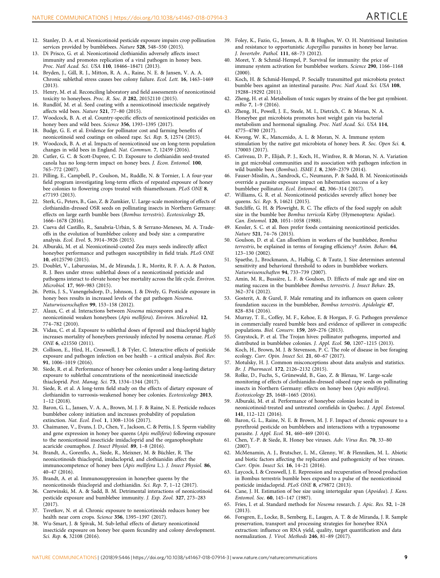- <span id="page-8-0"></span>12. Stanley, D. A. et al. Neonicotinoid pesticide exposure impairs crop pollination services provided by bumblebees. Nature 528, 548–550 (2015).
- 13. Di Prisco, G. et al. Neonicotinoid clothianidin adversely affects insect immunity and promotes replication of a viral pathogen in honey bees. Proc. Natl Acad. Sci. USA 110, 18466–18471 (2013).
- 14. Bryden, J., Gill, R. J., Mitton, R. A. A., Raine, N. E. & Jansen, V. A. A. Chronic sublethal stress causes bee colony failure. Ecol. Lett. 16, 1463–1469 (2013).
- 15. Henry, M. et al. Reconciling laboratory and field assessments of neonicotinoid toxicity to honeybees. Proc. R. Soc. B 282, 20152110 (2015).
- 16. Rundlöf, M. et al. Seed coating with a neonicotinoid insecticide negatively affects wild bees. Nature 521, 77–80 (2015).
- 17. Woodcock, B. A. et al. Country-specific effects of neonicotinoid pesticides on honey bees and wild bees. Science 356, 1393–1395 (2017).
- 18. Budge, G. E. et al. Evidence for pollinator cost and farming benefits of neonicotinoid seed coatings on oilseed rape. Sci. Rep. 5, 12574 (2015).
- 19. Woodcock, B. A. et al. Impacts of neonicotinoid use on long-term population changes in wild bees in England. Nat. Commun. 7, 12459 (2016).
- 20. Cutler, G. C. & Scott-Dupree, C. D. Exposure to clothianidin seed-treated canola has no long-term impact on honey bees. J. Econ. Entomol. 100, 765–772 (2007).
- 21. Pilling, E., Campbell, P., Coulson, M., Ruddle, N. & Tornier, I. A four-year field program investigating long-term effects of repeated exposure of honey bee colonies to flowering crops treated with thiamethoxam. PLoS ONE 8, e77193 (2013).
- 22. Sterk, G., Peters, B., Gao, Z. & Zumkier, U. Large-scale monitoring of effects of clothianidin-dressed OSR seeds on pollinating insects in Northern Germany: effects on large earth bumble bees (Bombus terrestris). Ecotoxicology 25, 1666–1678 (2016).
- 23. Cueva del Castillo, R., Sanabria-Urbán, S. & Serrano-Meneses, M. A. Tradeoffs in the evolution of bumblebee colony and body size: a comparative analysis. Ecol. Evol. 5, 3914–3926 (2015).
- 24. Alburaki, M. et al. Neonicotinoid-coated Zea mays seeds indirectly affect honeybee performance and pathogen susceptibility in field trials. PLoS ONE 10, e0125790 (2015).
- 25. Doublet, V., Labarussias, M., de Miranda, J. R., Moritz, R. F. A. A. & Paxton, R. J. Bees under stress: sublethal doses of a neonicotinoid pesticide and pathogens interact to elevate honey bee mortality across the life cycle. Environ. Microbiol. 17, 969–983 (2015).
- 26. Pettis, J. S., Vanengelsdorp, D., Johnson, J. & Dively, G. Pesticide exposure in honey bees results in increased levels of the gut pathogen Nosema. Naturwissenschaften 99, 153–158 (2012).
- 27. Alaux, C. et al. Interactions between Nosema microspores and a neonicotinoid weaken honeybees (Apis mellifera). Environ. Microbiol. 12, 774–782 (2010).
- 28. Vidau, C. et al. Exposure to sublethal doses of fipronil and thiacloprid highly increases mortality of honeybees previously infected by nosema ceranae. PLoS ONE 6, e21550 (2011).
- 29. Collison, E., Hird, H., Cresswell, J. & Tyler, C. Interactive effects of pesticide exposure and pathogen infection on bee health – a critical analysis. Biol. Rev. 91, 1006–1019 (2016).
- 30. Siede, R. et al. Performance of honey bee colonies under a long-lasting dietary exposure to sublethal concentrations of the neonicotinoid insecticide thiacloprid. Pest. Manag. Sci. 73, 1334–1344 (2017).
- 31. Siede, R. et al. A long-term field study on the effects of dietary exposure of clothianidin to varroosis-weakened honey bee colonies. Ecotoxicology 2013, 1–12 (2018).
- 32. Baron, G. L., Jansen, V. A. A., Brown, M. J. F. & Raine, N. E. Pesticide reduces bumblebee colony initiation and increases probability of population extinction. Nat. Ecol. Evol. 1, 1308–1316 (2017).
- 33. Chaimanee, V., Evans, J. D., Chen, Y., Jackson, C. & Pettis, J. S. Sperm viability and gene expression in honey bee queens (Apis mellifera) following exposure to the neonicotinoid insecticide imidacloprid and the organophosphate acaricide coumaphos. J. Insect Physiol. 89, 1–8 (2016).
- 34. Brandt, A., Gorenflo, A., Siede, R., Meixner, M. & Büchler, R. The neonicotinoids thiacloprid, imidacloprid, and clothianidin affect the immunocompetence of honey bees (Apis mellifera L.). J. Insect Physiol. 86, 40–47 (2016).
- 35. Brandt, A. et al. Immunosuppression in honeybee queens by the neonicotinoids thiacloprid and clothianidin. Sci. Rep. 7, 1–12 (2017).
- 36. Czerwinski, M. A. & Sadd, B. M. Detrimental interactions of neonicotinoid pesticide exposure and bumblebee immunity. J. Exp. Zool. 327, 273–283 (2017).
- 37. Tsvetkov, N. et al. Chronic exposure to neonicotinoids reduces honey bee health near corn crops. Science 356, 1395–1397 (2017).
- 38. Wu-Smart, J. & Spivak, M. Sub-lethal effects of dietary neonicotinoid insecticide exposure on honey bee queen fecundity and colony development. Sci. Rep. 6, 32108 (2016).
- 39. Foley, K., Fazio, G., Jensen, A. B. & Hughes, W. O. H. Nutritional limitation and resistance to opportunistic Aspergillus parasites in honey bee larvae. J. Invertebr. Pathol. 111, 68–73 (2012).
- 40. Moret, Y. & Schmid-Hempel, P. Survival for immunity: the price of immune system activation for bumblebee workers. Science 290, 1166–1168  $(2000)$
- 41. Koch, H. & Schmid-Hempel, P. Socially transmitted gut microbiota protect bumble bees against an intestinal parasite. Proc. Natl Acad. Sci. USA 108, 19288–19292 (2011).
- 42. Zheng, H. et al. Metabolism of toxic sugars by strains of the bee gut symbiont. mBio 7, 1-9 (2016).
- 43. Zheng, H., Powell, J. E., Steele, M. I., Dietrich, C. & Moran, N. A. Honeybee gut microbiota promotes host weight gain via bacterial metabolism and hormonal signaling. Proc. Natl Acad. Sci. USA 114, 4775–4780 (2017).
- 44. Kwong, W. K., Mancenido, A. L. & Moran, N. A. Immune system stimulation by the native gut microbiota of honey bees. R. Soc. Open Sci. 4, 170003 (2017).
- 45. Cariveau, D. P., Elijah, P. J., Koch, H., Winfree, R. & Moran, N. A. Variation in gut microbial communities and its association with pathogen infection in wild bumble bees (Bombus). ISME J. 8, 2369–2379 (2014).
- 46. Fauser-Misslin, A., Sandrock, C., Neumann, P. & Sadd, B. M. Neonicotinoids override a parasite exposure impact on hibernation success of a key bumblebee pollinator. Ecol. Entomol. 42, 306–314 (2017).
- 47. Williams, G. R. et al. Neonicotinoid pesticides severely affect honey bee queens. Sci. Rep. 5, 14621 (2015).
- 48. Sutcliffe, G. H. & Plowright, R. C. The effects of the food supply on adult size in the bumble bee Bombus terricola Kirby (Hymenoptera: Apidae). Can. Entomol. 120, 1051–1058 (1988).
- 49. Kessler, S. C. et al. Bees prefer foods containing neonicotinoid pesticides. Nature 521, 74–76 (2015).
- 50. Goulson, D. et al. Can alloethism in workers of the bumblebee, Bombus terrestris, be explained in terms of foraging efficiency? Anim. Behav. 64, 123–130 (2002).
- 51. Spaethe, J., Brockmann, A., Halbig, C. & Tautz, J. Size determines antennal sensitivity and behavioral threshold to odors in bumblebee workers. Naturwissenschaften 94, 733–739 (2007).
- 52. Amin, M. R., Bussière, L. F. & Goulson, D. Effects of male age and size on mating success in the bumblebee Bombus terrestris. J. Insect Behav. 25, 362–374 (2012).
- 53. Gosterit, A. & Gurel, F. Male remating and its influences on queen colony foundation success in the bumblebee, Bombus terrestris. Apidologie 47, 828–834 (2016).
- 54. Murray, T. E., Coffey, M. F., Kehoe, E. & Horgan, F. G. Pathogen prevalence in commercially reared bumble bees and evidence of spillover in conspecific populations. Biol. Conserv. 159, 269–276 (2013).
- 55. Graystock, P. et al. The Trojan hives: pollinator pathogens, imported and distributed in bumblebee colonies. J. Appl. Ecol. 50, 1207–1215 (2013).
- 56. Koch, H., Brown, M. J. & Stevenson, P. C. The role of disease in bee foraging ecology. Curr. Opin. Insect Sci. 21, 60–67 (2017).
- 57. Motulsky, H. J. Common misconceptions about data analysis and statistics. Br. J. Pharmacol. 172, 2126–2132 (2015).
- 58. Rolke, D., Fuchs, S., Grünewald, B., Gao, Z. & Blenau, W. Large-scale monitoring of effects of clothianidin-dressed oilseed rape seeds on pollinating insects in Northern Germany: effects on honey bees (Apis mellifera). Ecotoxicology 25, 1648–1665 (2016).
- 59. Alburaki, M. et al. Performance of honeybee colonies located in neonicotinoid-treated and untreated cornfields in Quebec. J. Appl. Entomol. 141, 112–121 (2016).
- 60. Baron, G. L., Raine, N. E. & Brown, M. J. F. Impact of chronic exposure to a pyrethroid pesticide on bumblebees and interactions with a trypanosome parasite. J. Appl. Ecol. 51, 460–469 (2014).
- 61. Chen, Y.-P. & Siede, R. Honey bee viruses. Adv. Virus Res. 70, 33–80 (2007).
- 62. McMenamin, A. J., Brutscher, L. M., Glenny, W. & Flenniken, M. L. Abiotic and biotic factors affecting the replication and pathogenicity of bee viruses. Curr. Opin. Insect Sci. 16, 14–21 (2016).
- 63. Laycock, I. & Cresswell, J. E. Repression and recuperation of brood production in Bombus terrestris bumble bees exposed to a pulse of the neonicotinoid pesticide imidacloprid. PLoS ONE 8, e79872 (2013).
- 64. Cane, J. H. Estimation of bee size using intertegular span (Apoidea). J. Kans. Entomol. Soc. 60, 145–147 (1987).
- 65. Fries, I. et al. Standard methods for Nosema research. J. Apic. Res. 52, 1–28 (2013).
- 66. Forsgren, E., Locke, B., Semberg, E., Laugen, A. T. & de Miranda, J. R. Sample preservation, transport and processing strategies for honeybee RNA extraction: influence on RNA yield, quality, target quantification and data normalization. J. Virol. Methods 246, 81–89 (2017).